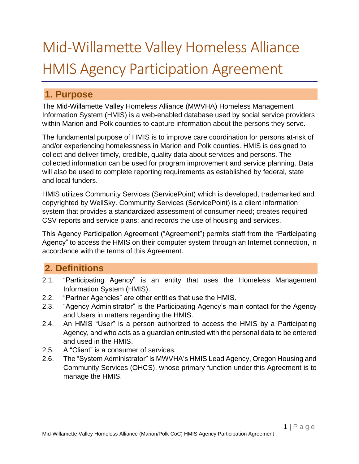# Mid-Willamette Valley Homeless Alliance HMIS Agency Participation Agreement

# **1. Purpose**

The Mid-Willamette Valley Homeless Alliance (MWVHA) Homeless Management Information System (HMIS) is a web-enabled database used by social service providers within Marion and Polk counties to capture information about the persons they serve.

The fundamental purpose of HMIS is to improve care coordination for persons at-risk of and/or experiencing homelessness in Marion and Polk counties. HMIS is designed to collect and deliver timely, credible, quality data about services and persons. The collected information can be used for program improvement and service planning. Data will also be used to complete reporting requirements as established by federal, state and local funders.

HMIS utilizes Community Services (ServicePoint) which is developed, trademarked and copyrighted by WellSky. Community Services (ServicePoint) is a client information system that provides a standardized assessment of consumer need; creates required CSV reports and service plans; and records the use of housing and services.

This Agency Participation Agreement ("Agreement") permits staff from the "Participating Agency" to access the HMIS on their computer system through an Internet connection, in accordance with the terms of this Agreement.

# **2. Definitions**

- 2.1. "Participating Agency" is an entity that uses the Homeless Management Information System (HMIS).
- 2.2. "Partner Agencies" are other entities that use the HMIS.
- 2.3. "Agency Administrator" is the Participating Agency's main contact for the Agency and Users in matters regarding the HMIS.
- 2.4. An HMIS "User" is a person authorized to access the HMIS by a Participating Agency, and who acts as a guardian entrusted with the personal data to be entered and used in the HMIS.
- 2.5. A "Client" is a consumer of services.
- 2.6. The "System Administrator" is MWVHA's HMIS Lead Agency, Oregon Housing and Community Services (OHCS), whose primary function under this Agreement is to manage the HMIS.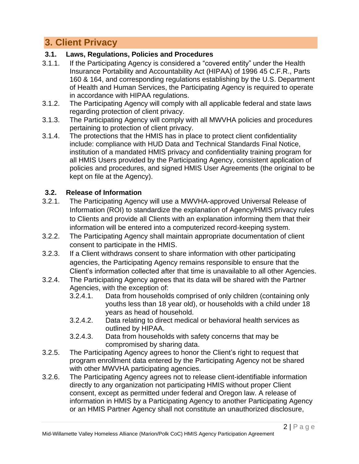# **3. Client Privacy**

## **3.1. Laws, Regulations, Policies and Procedures**

- 3.1.1. If the Participating Agency is considered a "covered entity" under the Health Insurance Portability and Accountability Act (HIPAA) of 1996 45 C.F.R., Parts 160 & 164, and corresponding regulations establishing by the U.S. Department of Health and Human Services, the Participating Agency is required to operate in accordance with HIPAA regulations.
- 3.1.2. The Participating Agency will comply with all applicable federal and state laws regarding protection of client privacy.
- 3.1.3. The Participating Agency will comply with all MWVHA policies and procedures pertaining to protection of client privacy.
- 3.1.4. The protections that the HMIS has in place to protect client confidentiality include: compliance with HUD Data and Technical Standards Final Notice, institution of a mandated HMIS privacy and confidentiality training program for all HMIS Users provided by the Participating Agency, consistent application of policies and procedures, and signed HMIS User Agreements (the original to be kept on file at the Agency).

## **3.2. Release of Information**

- 3.2.1. The Participating Agency will use a MWVHA-approved Universal Release of Information (ROI) to standardize the explanation of Agency/HMIS privacy rules to Clients and provide all Clients with an explanation informing them that their information will be entered into a computerized record-keeping system.
- 3.2.2. The Participating Agency shall maintain appropriate documentation of client consent to participate in the HMIS.
- 3.2.3. If a Client withdraws consent to share information with other participating agencies, the Participating Agency remains responsible to ensure that the Client's information collected after that time is unavailable to all other Agencies.
- 3.2.4. The Participating Agency agrees that its data will be shared with the Partner Agencies, with the exception of:
	- 3.2.4.1. Data from households comprised of only children (containing only youths less than 18 year old), or households with a child under 18 years as head of household.
	- 3.2.4.2. Data relating to direct medical or behavioral health services as outlined by HIPAA.
	- 3.2.4.3. Data from households with safety concerns that may be compromised by sharing data.
- 3.2.5. The Participating Agency agrees to honor the Client's right to request that program enrollment data entered by the Participating Agency not be shared with other MWVHA participating agencies.
- 3.2.6. The Participating Agency agrees not to release client-identifiable information directly to any organization not participating HMIS without proper Client consent, except as permitted under federal and Oregon law. A release of information in HMIS by a Participating Agency to another Participating Agency or an HMIS Partner Agency shall not constitute an unauthorized disclosure,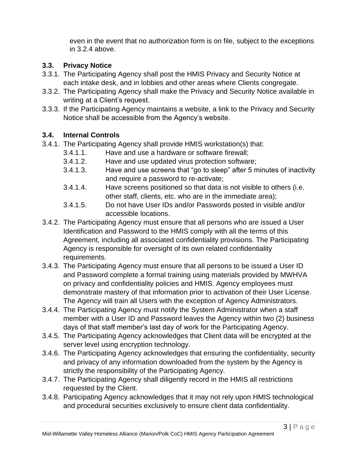even in the event that no authorization form is on file, subject to the exceptions in 3.2.4 above.

## **3.3. Privacy Notice**

- 3.3.1. The Participating Agency shall post the HMIS Privacy and Security Notice at each intake desk, and in lobbies and other areas where Clients congregate.
- 3.3.2. The Participating Agency shall make the Privacy and Security Notice available in writing at a Client's request.
- 3.3.3. If the Participating Agency maintains a website, a link to the Privacy and Security Notice shall be accessible from the Agency's website.

## **3.4. Internal Controls**

- 3.4.1. The Participating Agency shall provide HMIS workstation(s) that:
	- 3.4.1.1. Have and use a hardware or software firewall;
	- 3.4.1.2. Have and use updated virus protection software;
	- 3.4.1.3. Have and use screens that "go to sleep" after 5 minutes of inactivity and require a password to re-activate;
	- 3.4.1.4. Have screens positioned so that data is not visible to others (i.e. other staff, clients, etc. who are in the immediate area);
	- 3.4.1.5. Do not have User IDs and/or Passwords posted in visible and/or accessible locations.
- 3.4.2. The Participating Agency must ensure that all persons who are issued a User Identification and Password to the HMIS comply with all the terms of this Agreement, including all associated confidentiality provisions. The Participating Agency is responsible for oversight of its own related confidentiality requirements.
- 3.4.3. The Participating Agency must ensure that all persons to be issued a User ID and Password complete a formal training using materials provided by MWHVA on privacy and confidentiality policies and HMIS. Agency employees must demonstrate mastery of that information prior to activation of their User License. The Agency will train all Users with the exception of Agency Administrators.
- 3.4.4. The Participating Agency must notify the System Administrator when a staff member with a User ID and Password leaves the Agency within two (2) business days of that staff member's last day of work for the Participating Agency.
- 3.4.5. The Participating Agency acknowledges that Client data will be encrypted at the server level using encryption technology.
- 3.4.6. The Participating Agency acknowledges that ensuring the confidentiality, security and privacy of any information downloaded from the system by the Agency is strictly the responsibility of the Participating Agency.
- 3.4.7. The Participating Agency shall diligently record in the HMIS all restrictions requested by the Client.
- 3.4.8. Participating Agency acknowledges that it may not rely upon HMIS technological and procedural securities exclusively to ensure client data confidentiality.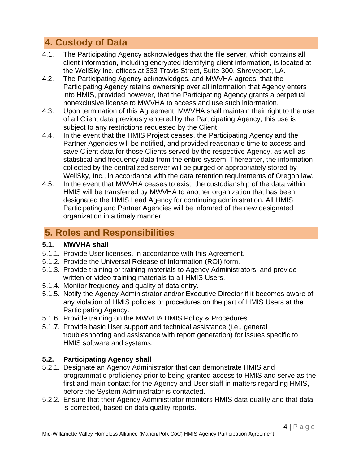# **4. Custody of Data**

- 4.1. The Participating Agency acknowledges that the file server, which contains all client information, including encrypted identifying client information, is located at the WellSky Inc. offices at 333 Travis Street, Suite 300, Shreveport, LA.
- 4.2. The Participating Agency acknowledges, and MWVHA agrees, that the Participating Agency retains ownership over all information that Agency enters into HMIS, provided however, that the Participating Agency grants a perpetual nonexclusive license to MWVHA to access and use such information.
- 4.3. Upon termination of this Agreement, MWVHA shall maintain their right to the use of all Client data previously entered by the Participating Agency; this use is subject to any restrictions requested by the Client.
- 4.4. In the event that the HMIS Project ceases, the Participating Agency and the Partner Agencies will be notified, and provided reasonable time to access and save Client data for those Clients served by the respective Agency, as well as statistical and frequency data from the entire system. Thereafter, the information collected by the centralized server will be purged or appropriately stored by WellSky, Inc., in accordance with the data retention requirements of Oregon law.
- 4.5. In the event that MWVHA ceases to exist, the custodianship of the data within HMIS will be transferred by MWVHA to another organization that has been designated the HMIS Lead Agency for continuing administration. All HMIS Participating and Partner Agencies will be informed of the new designated organization in a timely manner.

# **5. Roles and Responsibilities**

## **5.1. MWVHA shall**

- 5.1.1. Provide User licenses, in accordance with this Agreement.
- 5.1.2. Provide the Universal Release of Information (ROI) form.
- 5.1.3. Provide training or training materials to Agency Administrators, and provide written or video training materials to all HMIS Users.
- 5.1.4. Monitor frequency and quality of data entry.
- 5.1.5. Notify the Agency Administrator and/or Executive Director if it becomes aware of any violation of HMIS policies or procedures on the part of HMIS Users at the Participating Agency.
- 5.1.6. Provide training on the MWVHA HMIS Policy & Procedures.
- 5.1.7. Provide basic User support and technical assistance (i.e., general troubleshooting and assistance with report generation) for issues specific to HMIS software and systems.

## **5.2. Participating Agency shall**

- 5.2.1. Designate an Agency Administrator that can demonstrate HMIS and programmatic proficiency prior to being granted access to HMIS and serve as the first and main contact for the Agency and User staff in matters regarding HMIS, before the System Administrator is contacted.
- 5.2.2. Ensure that their Agency Administrator monitors HMIS data quality and that data is corrected, based on data quality reports.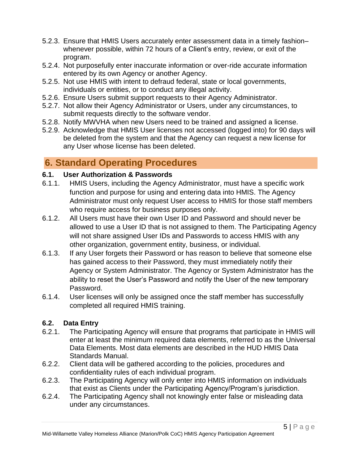- 5.2.3. Ensure that HMIS Users accurately enter assessment data in a timely fashion– whenever possible, within 72 hours of a Client's entry, review, or exit of the program.
- 5.2.4. Not purposefully enter inaccurate information or over-ride accurate information entered by its own Agency or another Agency.
- 5.2.5. Not use HMIS with intent to defraud federal, state or local governments, individuals or entities, or to conduct any illegal activity.
- 5.2.6. Ensure Users submit support requests to their Agency Administrator.
- 5.2.7. Not allow their Agency Administrator or Users, under any circumstances, to submit requests directly to the software vendor.
- 5.2.8. Notify MWVHA when new Users need to be trained and assigned a license.
- 5.2.9. Acknowledge that HMIS User licenses not accessed (logged into) for 90 days will be deleted from the system and that the Agency can request a new license for any User whose license has been deleted.

# **6. Standard Operating Procedures**

## **6.1. User Authorization & Passwords**

- 6.1.1. HMIS Users, including the Agency Administrator, must have a specific work function and purpose for using and entering data into HMIS. The Agency Administrator must only request User access to HMIS for those staff members who require access for business purposes only.
- 6.1.2. All Users must have their own User ID and Password and should never be allowed to use a User ID that is not assigned to them. The Participating Agency will not share assigned User IDs and Passwords to access HMIS with any other organization, government entity, business, or individual.
- 6.1.3. If any User forgets their Password or has reason to believe that someone else has gained access to their Password, they must immediately notify their Agency or System Administrator. The Agency or System Administrator has the ability to reset the User's Password and notify the User of the new temporary Password.
- 6.1.4. User licenses will only be assigned once the staff member has successfully completed all required HMIS training.

## **6.2. Data Entry**

- 6.2.1. The Participating Agency will ensure that programs that participate in HMIS will enter at least the minimum required data elements, referred to as the Universal Data Elements. Most data elements are described in the HUD HMIS Data Standards Manual.
- 6.2.2. Client data will be gathered according to the policies, procedures and confidentiality rules of each individual program.
- 6.2.3. The Participating Agency will only enter into HMIS information on individuals that exist as Clients under the Participating Agency/Program's jurisdiction.
- 6.2.4. The Participating Agency shall not knowingly enter false or misleading data under any circumstances.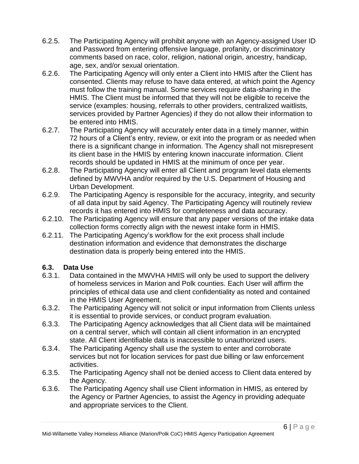- 6.2.5. The Participating Agency will prohibit anyone with an Agency-assigned User ID and Password from entering offensive language, profanity, or discriminatory comments based on race, color, religion, national origin, ancestry, handicap, age, sex, and/or sexual orientation.
- 6.2.6. The Participating Agency will only enter a Client into HMIS after the Client has consented. Clients may refuse to have data entered, at which point the Agency must follow the training manual. Some services require data-sharing in the HMIS. The Client must be informed that they will not be eligible to receive the service (examples: housing, referrals to other providers, centralized waitlists, services provided by Partner Agencies) if they do not allow their information to be entered into HMIS.
- 6.2.7. The Participating Agency will accurately enter data in a timely manner, within 72 hours of a Client's entry, review, or exit into the program or as needed when there is a significant change in information. The Agency shall not misrepresent its client base in the HMIS by entering known inaccurate information. Client records should be updated in HMIS at the minimum of once per year.
- 6.2.8. The Participating Agency will enter all Client and program level data elements defined by MWVHA and/or required by the U.S. Department of Housing and Urban Development.
- 6.2.9. The Participating Agency is responsible for the accuracy, integrity, and security of all data input by said Agency. The Participating Agency will routinely review records it has entered into HMIS for completeness and data accuracy.
- 6.2.10. The Participating Agency will ensure that any paper versions of the intake data collection forms correctly align with the newest intake form in HMIS.
- 6.2.11. The Participating Agency's workflow for the exit process shall include destination information and evidence that demonstrates the discharge destination data is properly being entered into the HMIS.

#### **6.3. Data Use**

- 6.3.1. Data contained in the MWVHA HMIS will only be used to support the delivery of homeless services in Marion and Polk counties. Each User will affirm the principles of ethical data use and client confidentiality as noted and contained in the HMIS User Agreement.
- 6.3.2. The Participating Agency will not solicit or input information from Clients unless it is essential to provide services, or conduct program evaluation.
- 6.3.3. The Participating Agency acknowledges that all Client data will be maintained on a central server, which will contain all client information in an encrypted state. All Client identifiable data is inaccessible to unauthorized users.
- 6.3.4. The Participating Agency shall use the system to enter and corroborate services but not for location services for past due billing or law enforcement activities.
- 6.3.5. The Participating Agency shall not be denied access to Client data entered by the Agency.
- 6.3.6. The Participating Agency shall use Client information in HMIS, as entered by the Agency or Partner Agencies, to assist the Agency in providing adequate and appropriate services to the Client.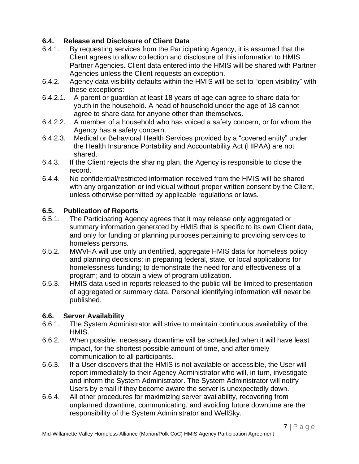## **6.4. Release and Disclosure of Client Data**

- 6.4.1. By requesting services from the Participating Agency, it is assumed that the Client agrees to allow collection and disclosure of this information to HMIS Partner Agencies. Client data entered into the HMIS will be shared with Partner Agencies unless the Client requests an exception.
- 6.4.2. Agency data visibility defaults within the HMIS will be set to "open visibility" with these exceptions:
- 6.4.2.1. A parent or guardian at least 18 years of age can agree to share data for youth in the household. A head of household under the age of 18 cannot agree to share data for anyone other than themselves.
- 6.4.2.2. A member of a household who has voiced a safety concern, or for whom the Agency has a safety concern.
- 6.4.2.3. Medical or Behavioral Health Services provided by a "covered entity" under the Health Insurance Portability and Accountability Act (HIPAA) are not shared.
- 6.4.3. If the Client rejects the sharing plan, the Agency is responsible to close the record.
- 6.4.4. No confidential/restricted information received from the HMIS will be shared with any organization or individual without proper written consent by the Client, unless otherwise permitted by applicable regulations or laws.

#### **6.5. Publication of Reports**

- 6.5.1. The Participating Agency agrees that it may release only aggregated or summary information generated by HMIS that is specific to its own Client data, and only for funding or planning purposes pertaining to providing services to homeless persons.
- 6.5.2. MWVHA will use only unidentified, aggregate HMIS data for homeless policy and planning decisions; in preparing federal, state, or local applications for homelessness funding; to demonstrate the need for and effectiveness of a program; and to obtain a view of program utilization.
- 6.5.3. HMIS data used in reports released to the public will be limited to presentation of aggregated or summary data. Personal identifying information will never be published.

#### **6.6. Server Availability**

- 6.6.1. The System Administrator will strive to maintain continuous availability of the HMIS.
- 6.6.2. When possible, necessary downtime will be scheduled when it will have least impact, for the shortest possible amount of time, and after timely communication to all participants.
- 6.6.3. If a User discovers that the HMIS is not available or accessible, the User will report immediately to their Agency Administrator who will, in turn, investigate and inform the System Administrator. The System Administrator will notify Users by email if they become aware the server is unexpectedly down.
- 6.6.4. All other procedures for maximizing server availability, recovering from unplanned downtime, communicating, and avoiding future downtime are the responsibility of the System Administrator and WellSky.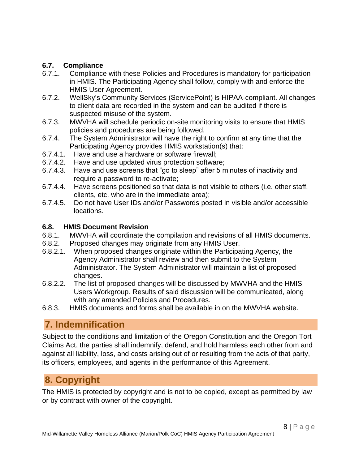## **6.7. Compliance**

- 6.7.1. Compliance with these Policies and Procedures is mandatory for participation in HMIS. The Participating Agency shall follow, comply with and enforce the HMIS User Agreement.
- 6.7.2. WellSky's Community Services (ServicePoint) is HIPAA-compliant. All changes to client data are recorded in the system and can be audited if there is suspected misuse of the system.
- 6.7.3. MWVHA will schedule periodic on-site monitoring visits to ensure that HMIS policies and procedures are being followed.
- 6.7.4. The System Administrator will have the right to confirm at any time that the Participating Agency provides HMIS workstation(s) that:
- 6.7.4.1. Have and use a hardware or software firewall;
- 6.7.4.2. Have and use updated virus protection software;
- 6.7.4.3. Have and use screens that "go to sleep" after 5 minutes of inactivity and require a password to re-activate;
- 6.7.4.4. Have screens positioned so that data is not visible to others (i.e. other staff, clients, etc. who are in the immediate area);
- 6.7.4.5. Do not have User IDs and/or Passwords posted in visible and/or accessible locations.

#### **6.8. HMIS Document Revision**

- 6.8.1. MWVHA will coordinate the compilation and revisions of all HMIS documents.
- 6.8.2. Proposed changes may originate from any HMIS User.
- 6.8.2.1. When proposed changes originate within the Participating Agency, the Agency Administrator shall review and then submit to the System Administrator. The System Administrator will maintain a list of proposed changes.
- 6.8.2.2. The list of proposed changes will be discussed by MWVHA and the HMIS Users Workgroup. Results of said discussion will be communicated, along with any amended Policies and Procedures.
- 6.8.3. HMIS documents and forms shall be available in on the MWVHA website.

# **7. Indemnification**

Subject to the conditions and limitation of the Oregon Constitution and the Oregon Tort Claims Act, the parties shall indemnify, defend, and hold harmless each other from and against all liability, loss, and costs arising out of or resulting from the acts of that party, its officers, employees, and agents in the performance of this Agreement.

# **8. Copyright**

The HMIS is protected by copyright and is not to be copied, except as permitted by law or by contract with owner of the copyright.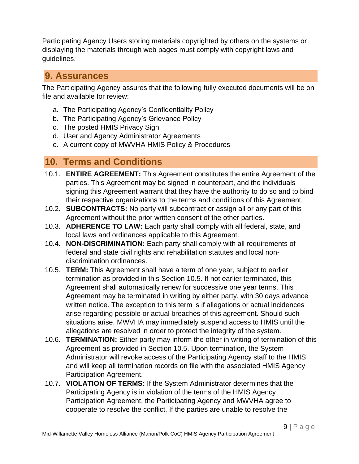Participating Agency Users storing materials copyrighted by others on the systems or displaying the materials through web pages must comply with copyright laws and guidelines.

## **9. Assurances**

The Participating Agency assures that the following fully executed documents will be on file and available for review:

- a. The Participating Agency's Confidentiality Policy
- b. The Participating Agency's Grievance Policy
- c. The posted HMIS Privacy Sign
- d. User and Agency Administrator Agreements
- e. A current copy of MWVHA HMIS Policy & Procedures

# **10. Terms and Conditions**

- 10.1. **ENTIRE AGREEMENT:** This Agreement constitutes the entire Agreement of the parties. This Agreement may be signed in counterpart, and the individuals signing this Agreement warrant that they have the authority to do so and to bind their respective organizations to the terms and conditions of this Agreement.
- 10.2. **SUBCONTRACTS:** No party will subcontract or assign all or any part of this Agreement without the prior written consent of the other parties.
- 10.3. **ADHERENCE TO LAW:** Each party shall comply with all federal, state, and local laws and ordinances applicable to this Agreement.
- 10.4. **NON-DISCRIMINATION:** Each party shall comply with all requirements of federal and state civil rights and rehabilitation statutes and local nondiscrimination ordinances.
- 10.5. **TERM:** This Agreement shall have a term of one year, subject to earlier termination as provided in this Section 10.5. If not earlier terminated, this Agreement shall automatically renew for successive one year terms. This Agreement may be terminated in writing by either party, with 30 days advance written notice. The exception to this term is if allegations or actual incidences arise regarding possible or actual breaches of this agreement. Should such situations arise, MWVHA may immediately suspend access to HMIS until the allegations are resolved in order to protect the integrity of the system.
- 10.6. **TERMINATION:** Either party may inform the other in writing of termination of this Agreement as provided in Section 10.5. Upon termination, the System Administrator will revoke access of the Participating Agency staff to the HMIS and will keep all termination records on file with the associated HMIS Agency Participation Agreement.
- 10.7. **VIOLATION OF TERMS:** If the System Administrator determines that the Participating Agency is in violation of the terms of the HMIS Agency Participation Agreement, the Participating Agency and MWVHA agree to cooperate to resolve the conflict. If the parties are unable to resolve the